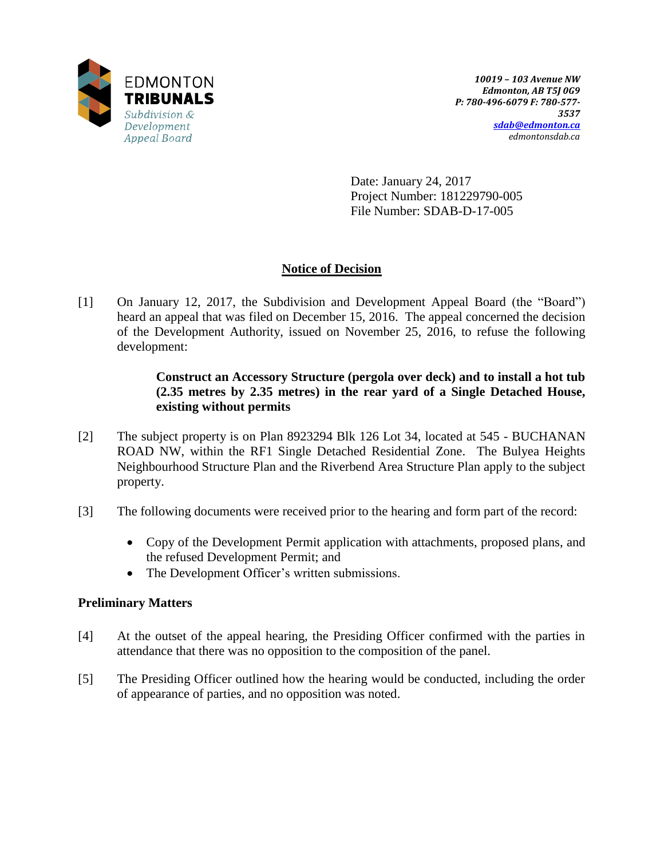

Date: January 24, 2017 Project Number: 181229790-005 File Number: SDAB-D-17-005

## **Notice of Decision**

[1] On January 12, 2017, the Subdivision and Development Appeal Board (the "Board") heard an appeal that was filed on December 15, 2016. The appeal concerned the decision of the Development Authority, issued on November 25, 2016, to refuse the following development:

## **Construct an Accessory Structure (pergola over deck) and to install a hot tub (2.35 metres by 2.35 metres) in the rear yard of a Single Detached House, existing without permits**

- [2] The subject property is on Plan 8923294 Blk 126 Lot 34, located at 545 BUCHANAN ROAD NW, within the RF1 Single Detached Residential Zone. The Bulyea Heights Neighbourhood Structure Plan and the Riverbend Area Structure Plan apply to the subject property.
- [3] The following documents were received prior to the hearing and form part of the record:
	- Copy of the Development Permit application with attachments, proposed plans, and the refused Development Permit; and
	- The Development Officer's written submissions.

## **Preliminary Matters**

- [4] At the outset of the appeal hearing, the Presiding Officer confirmed with the parties in attendance that there was no opposition to the composition of the panel.
- [5] The Presiding Officer outlined how the hearing would be conducted, including the order of appearance of parties, and no opposition was noted.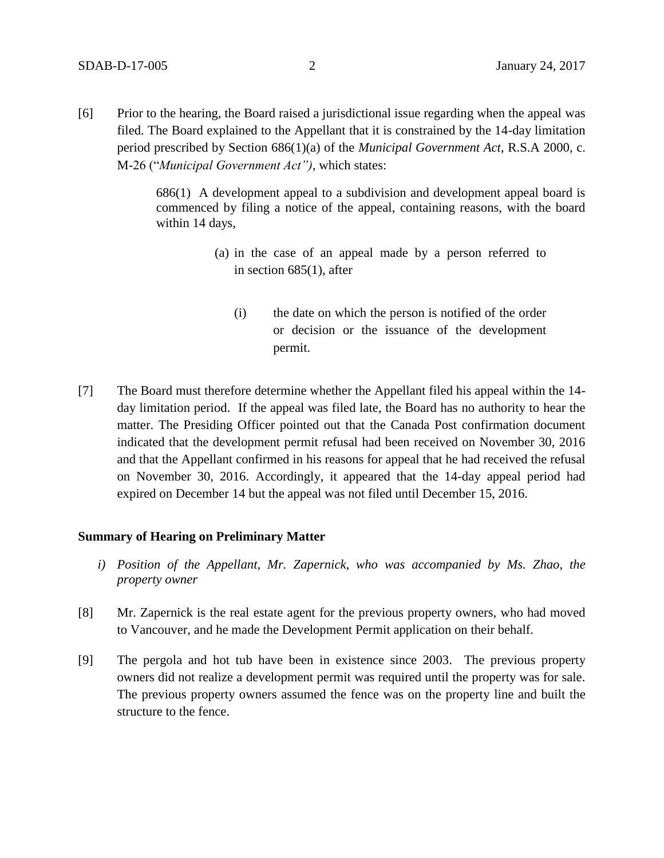[6] Prior to the hearing, the Board raised a jurisdictional issue regarding when the appeal was filed. The Board explained to the Appellant that it is constrained by the 14-day limitation period prescribed by Section 686(1)(a) of the *Municipal Government Act*, R.S.A 2000, c. M-26 ("*Municipal Government Act")*, which states:

> 686(1) A development appeal to a subdivision and development appeal board is commenced by filing a notice of the appeal, containing reasons, with the board within 14 days,

- (a) in the case of an appeal made by a person referred to in section 685(1), after
	- (i) the date on which the person is notified of the order or decision or the issuance of the development permit.
- [7] The Board must therefore determine whether the Appellant filed his appeal within the 14 day limitation period. If the appeal was filed late, the Board has no authority to hear the matter. The Presiding Officer pointed out that the Canada Post confirmation document indicated that the development permit refusal had been received on November 30, 2016 and that the Appellant confirmed in his reasons for appeal that he had received the refusal on November 30, 2016. Accordingly, it appeared that the 14-day appeal period had expired on December 14 but the appeal was not filed until December 15, 2016.

#### **Summary of Hearing on Preliminary Matter**

- *i) Position of the Appellant, Mr. Zapernick, who was accompanied by Ms. Zhao, the property owner*
- [8] Mr. Zapernick is the real estate agent for the previous property owners, who had moved to Vancouver, and he made the Development Permit application on their behalf.
- [9] The pergola and hot tub have been in existence since 2003. The previous property owners did not realize a development permit was required until the property was for sale. The previous property owners assumed the fence was on the property line and built the structure to the fence.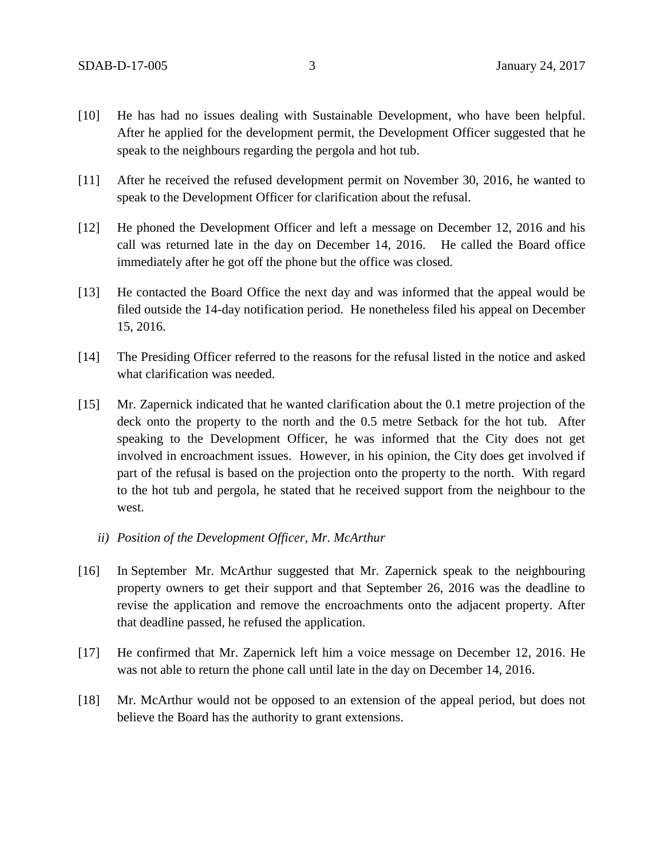- [10] He has had no issues dealing with Sustainable Development, who have been helpful. After he applied for the development permit, the Development Officer suggested that he speak to the neighbours regarding the pergola and hot tub.
- [11] After he received the refused development permit on November 30, 2016, he wanted to speak to the Development Officer for clarification about the refusal.
- [12] He phoned the Development Officer and left a message on December 12, 2016 and his call was returned late in the day on December 14, 2016. He called the Board office immediately after he got off the phone but the office was closed.
- [13] He contacted the Board Office the next day and was informed that the appeal would be filed outside the 14-day notification period. He nonetheless filed his appeal on December 15, 2016.
- [14] The Presiding Officer referred to the reasons for the refusal listed in the notice and asked what clarification was needed.
- [15] Mr. Zapernick indicated that he wanted clarification about the 0.1 metre projection of the deck onto the property to the north and the 0.5 metre Setback for the hot tub. After speaking to the Development Officer, he was informed that the City does not get involved in encroachment issues. However, in his opinion, the City does get involved if part of the refusal is based on the projection onto the property to the north. With regard to the hot tub and pergola, he stated that he received support from the neighbour to the west.
	- *ii) Position of the Development Officer, Mr. McArthur*
- [16] In September Mr. McArthur suggested that Mr. Zapernick speak to the neighbouring property owners to get their support and that September 26, 2016 was the deadline to revise the application and remove the encroachments onto the adjacent property. After that deadline passed, he refused the application.
- [17] He confirmed that Mr. Zapernick left him a voice message on December 12, 2016. He was not able to return the phone call until late in the day on December 14, 2016.
- [18] Mr. McArthur would not be opposed to an extension of the appeal period, but does not believe the Board has the authority to grant extensions.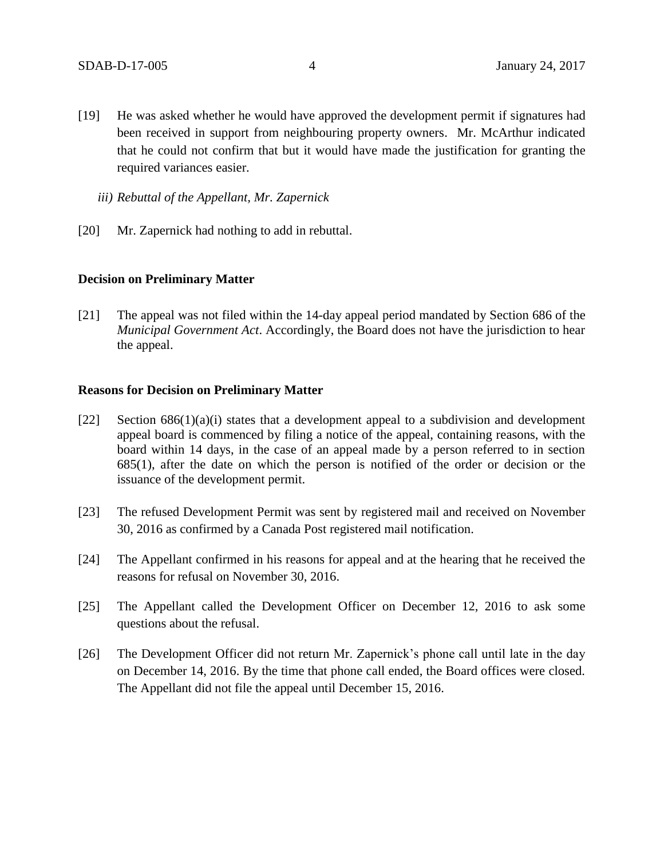- [19] He was asked whether he would have approved the development permit if signatures had been received in support from neighbouring property owners. Mr. McArthur indicated that he could not confirm that but it would have made the justification for granting the required variances easier.
	- *iii) Rebuttal of the Appellant, Mr. Zapernick*
- [20] Mr. Zapernick had nothing to add in rebuttal.

#### **Decision on Preliminary Matter**

[21] The appeal was not filed within the 14-day appeal period mandated by Section 686 of the *Municipal Government Act*. Accordingly, the Board does not have the jurisdiction to hear the appeal.

#### **Reasons for Decision on Preliminary Matter**

- [22] Section  $686(1)(a)(i)$  states that a development appeal to a subdivision and development appeal board is commenced by filing a notice of the appeal, containing reasons, with the board within 14 days, in the case of an appeal made by a person referred to in section 685(1), after the date on which the person is notified of the order or decision or the issuance of the development permit.
- [23] The refused Development Permit was sent by registered mail and received on November 30, 2016 as confirmed by a Canada Post registered mail notification.
- [24] The Appellant confirmed in his reasons for appeal and at the hearing that he received the reasons for refusal on November 30, 2016.
- [25] The Appellant called the Development Officer on December 12, 2016 to ask some questions about the refusal.
- [26] The Development Officer did not return Mr. Zapernick's phone call until late in the day on December 14, 2016. By the time that phone call ended, the Board offices were closed. The Appellant did not file the appeal until December 15, 2016.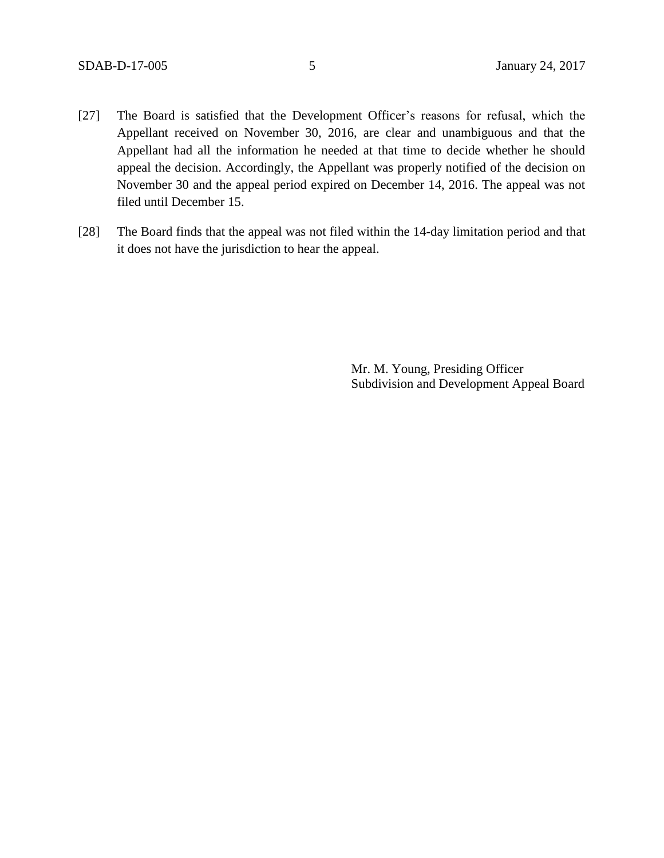- [27] The Board is satisfied that the Development Officer's reasons for refusal, which the Appellant received on November 30, 2016, are clear and unambiguous and that the Appellant had all the information he needed at that time to decide whether he should appeal the decision. Accordingly, the Appellant was properly notified of the decision on November 30 and the appeal period expired on December 14, 2016. The appeal was not filed until December 15.
- [28] The Board finds that the appeal was not filed within the 14-day limitation period and that it does not have the jurisdiction to hear the appeal.

Mr. M. Young, Presiding Officer Subdivision and Development Appeal Board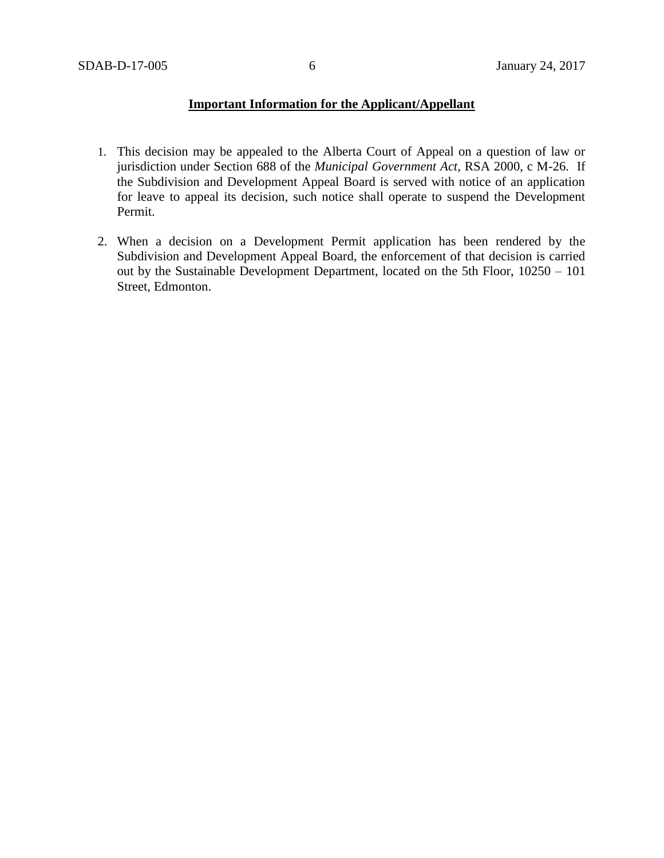## **Important Information for the Applicant/Appellant**

- 1. This decision may be appealed to the Alberta Court of Appeal on a question of law or jurisdiction under Section 688 of the *Municipal Government Act*, RSA 2000, c M-26. If the Subdivision and Development Appeal Board is served with notice of an application for leave to appeal its decision, such notice shall operate to suspend the Development Permit.
- 2. When a decision on a Development Permit application has been rendered by the Subdivision and Development Appeal Board, the enforcement of that decision is carried out by the Sustainable Development Department, located on the 5th Floor, 10250 – 101 Street, Edmonton.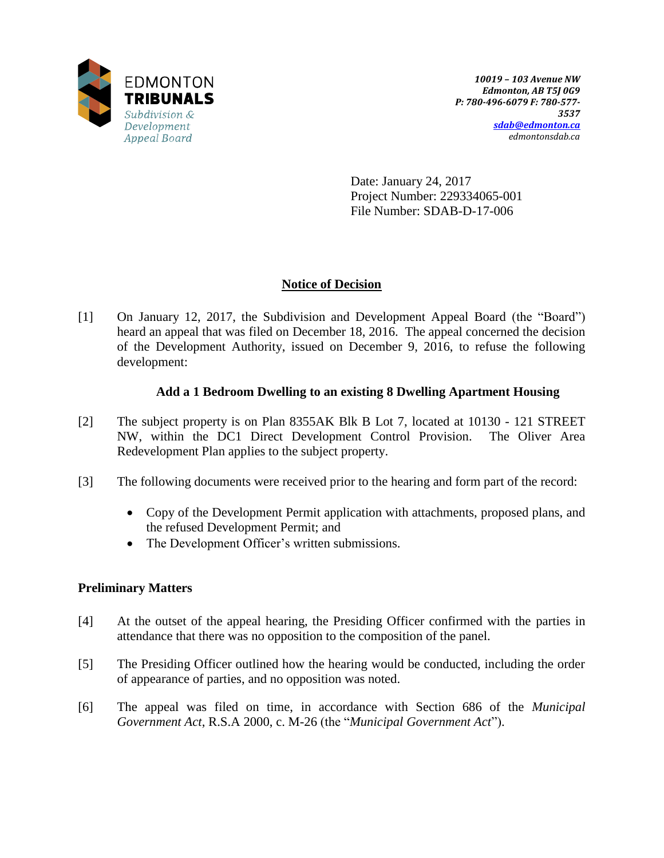

Date: January 24, 2017 Project Number: 229334065-001 File Number: SDAB-D-17-006

## **Notice of Decision**

[1] On January 12, 2017, the Subdivision and Development Appeal Board (the "Board") heard an appeal that was filed on December 18, 2016. The appeal concerned the decision of the Development Authority, issued on December 9, 2016, to refuse the following development:

## **Add a 1 Bedroom Dwelling to an existing 8 Dwelling Apartment Housing**

- [2] The subject property is on Plan 8355AK Blk B Lot 7, located at 10130 121 STREET NW, within the DC1 Direct Development Control Provision. The Oliver Area Redevelopment Plan applies to the subject property.
- [3] The following documents were received prior to the hearing and form part of the record:
	- Copy of the Development Permit application with attachments, proposed plans, and the refused Development Permit; and
	- The Development Officer's written submissions.

## **Preliminary Matters**

- [4] At the outset of the appeal hearing, the Presiding Officer confirmed with the parties in attendance that there was no opposition to the composition of the panel.
- [5] The Presiding Officer outlined how the hearing would be conducted, including the order of appearance of parties, and no opposition was noted.
- [6] The appeal was filed on time, in accordance with Section 686 of the *Municipal Government Act*, R.S.A 2000, c. M-26 (the "*Municipal Government Act*").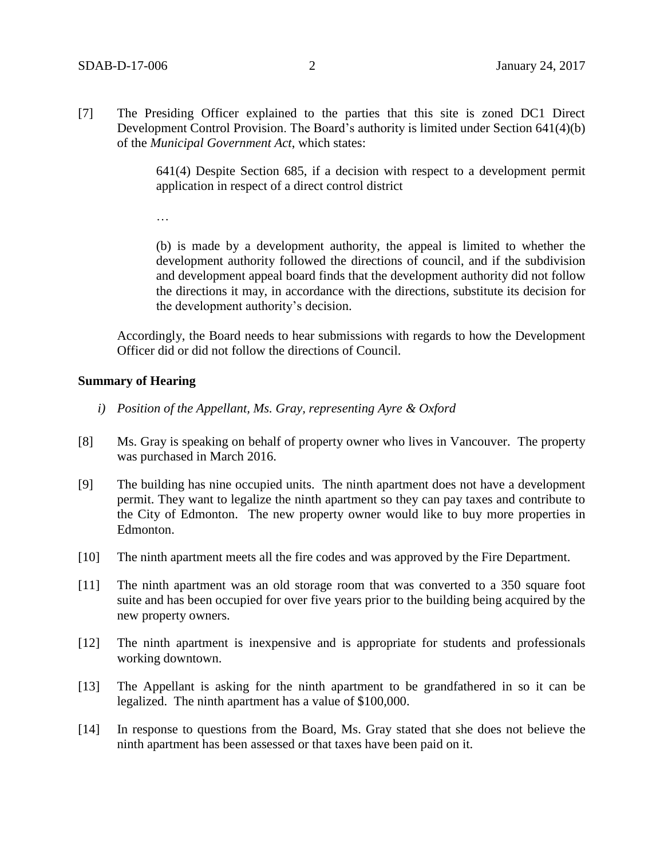[7] The Presiding Officer explained to the parties that this site is zoned DC1 Direct Development Control Provision. The Board's authority is limited under Section 641(4)(b) of the *Municipal Government Act*, which states:

> 641(4) Despite Section 685, if a decision with respect to a development permit application in respect of a direct control district

…

(b) is made by a development authority, the appeal is limited to whether the development authority followed the directions of council, and if the subdivision and development appeal board finds that the development authority did not follow the directions it may, in accordance with the directions, substitute its decision for the development authority's decision.

Accordingly, the Board needs to hear submissions with regards to how the Development Officer did or did not follow the directions of Council.

#### **Summary of Hearing**

- *i) Position of the Appellant, Ms. Gray, representing Ayre & Oxford*
- [8] Ms. Gray is speaking on behalf of property owner who lives in Vancouver. The property was purchased in March 2016.
- [9] The building has nine occupied units. The ninth apartment does not have a development permit. They want to legalize the ninth apartment so they can pay taxes and contribute to the City of Edmonton. The new property owner would like to buy more properties in Edmonton.
- [10] The ninth apartment meets all the fire codes and was approved by the Fire Department.
- [11] The ninth apartment was an old storage room that was converted to a 350 square foot suite and has been occupied for over five years prior to the building being acquired by the new property owners.
- [12] The ninth apartment is inexpensive and is appropriate for students and professionals working downtown.
- [13] The Appellant is asking for the ninth apartment to be grandfathered in so it can be legalized. The ninth apartment has a value of \$100,000.
- [14] In response to questions from the Board, Ms. Gray stated that she does not believe the ninth apartment has been assessed or that taxes have been paid on it.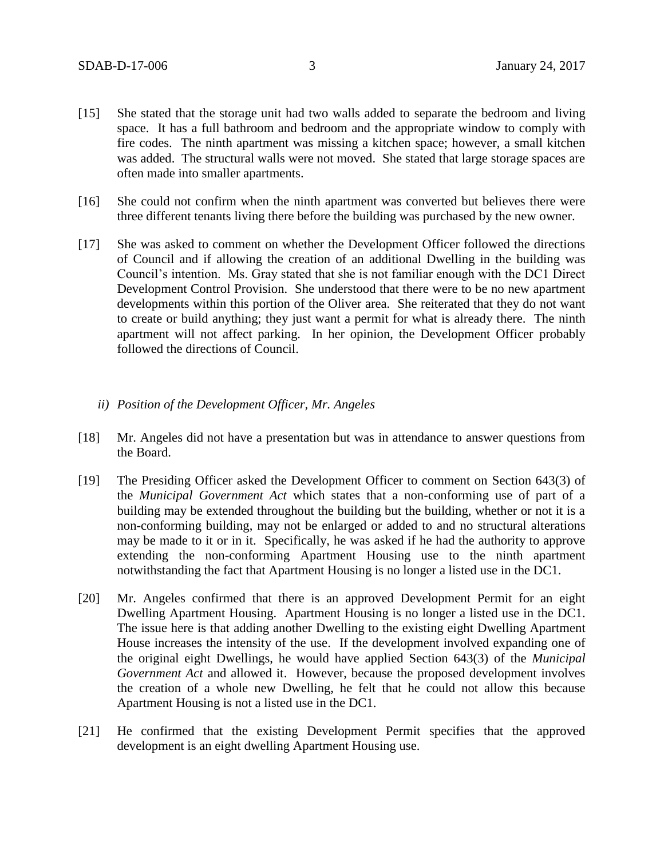- [15] She stated that the storage unit had two walls added to separate the bedroom and living space. It has a full bathroom and bedroom and the appropriate window to comply with fire codes. The ninth apartment was missing a kitchen space; however, a small kitchen was added. The structural walls were not moved. She stated that large storage spaces are often made into smaller apartments.
- [16] She could not confirm when the ninth apartment was converted but believes there were three different tenants living there before the building was purchased by the new owner.
- [17] She was asked to comment on whether the Development Officer followed the directions of Council and if allowing the creation of an additional Dwelling in the building was Council's intention. Ms. Gray stated that she is not familiar enough with the DC1 Direct Development Control Provision. She understood that there were to be no new apartment developments within this portion of the Oliver area. She reiterated that they do not want to create or build anything; they just want a permit for what is already there. The ninth apartment will not affect parking. In her opinion, the Development Officer probably followed the directions of Council.
	- *ii) Position of the Development Officer, Mr. Angeles*
- [18] Mr. Angeles did not have a presentation but was in attendance to answer questions from the Board.
- [19] The Presiding Officer asked the Development Officer to comment on Section 643(3) of the *Municipal Government Act* which states that a non-conforming use of part of a building may be extended throughout the building but the building, whether or not it is a non-conforming building, may not be enlarged or added to and no structural alterations may be made to it or in it. Specifically, he was asked if he had the authority to approve extending the non-conforming Apartment Housing use to the ninth apartment notwithstanding the fact that Apartment Housing is no longer a listed use in the DC1.
- [20] Mr. Angeles confirmed that there is an approved Development Permit for an eight Dwelling Apartment Housing. Apartment Housing is no longer a listed use in the DC1. The issue here is that adding another Dwelling to the existing eight Dwelling Apartment House increases the intensity of the use. If the development involved expanding one of the original eight Dwellings, he would have applied Section 643(3) of the *Municipal Government Act* and allowed it. However, because the proposed development involves the creation of a whole new Dwelling, he felt that he could not allow this because Apartment Housing is not a listed use in the DC1.
- [21] He confirmed that the existing Development Permit specifies that the approved development is an eight dwelling Apartment Housing use.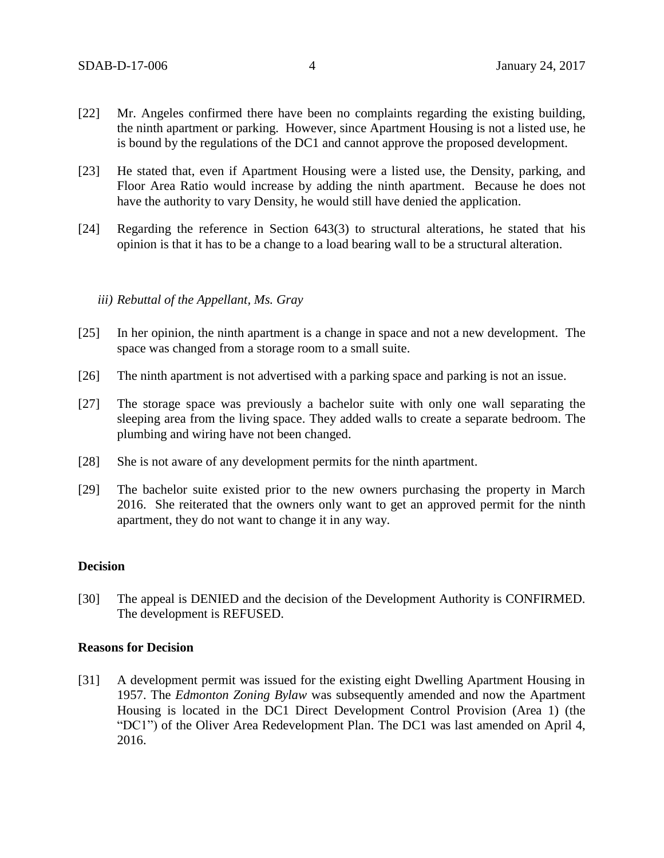- [22] Mr. Angeles confirmed there have been no complaints regarding the existing building, the ninth apartment or parking. However, since Apartment Housing is not a listed use, he is bound by the regulations of the DC1 and cannot approve the proposed development.
- [23] He stated that, even if Apartment Housing were a listed use, the Density, parking, and Floor Area Ratio would increase by adding the ninth apartment. Because he does not have the authority to vary Density, he would still have denied the application.
- [24] Regarding the reference in Section 643(3) to structural alterations, he stated that his opinion is that it has to be a change to a load bearing wall to be a structural alteration.

#### *iii) Rebuttal of the Appellant, Ms. Gray*

- [25] In her opinion, the ninth apartment is a change in space and not a new development. The space was changed from a storage room to a small suite.
- [26] The ninth apartment is not advertised with a parking space and parking is not an issue.
- [27] The storage space was previously a bachelor suite with only one wall separating the sleeping area from the living space. They added walls to create a separate bedroom. The plumbing and wiring have not been changed.
- [28] She is not aware of any development permits for the ninth apartment.
- [29] The bachelor suite existed prior to the new owners purchasing the property in March 2016. She reiterated that the owners only want to get an approved permit for the ninth apartment, they do not want to change it in any way.

#### **Decision**

[30] The appeal is DENIED and the decision of the Development Authority is CONFIRMED. The development is REFUSED.

#### **Reasons for Decision**

[31] A development permit was issued for the existing eight Dwelling Apartment Housing in 1957. The *Edmonton Zoning Bylaw* was subsequently amended and now the Apartment Housing is located in the DC1 Direct Development Control Provision (Area 1) (the "DC1") of the Oliver Area Redevelopment Plan. The DC1 was last amended on April 4, 2016.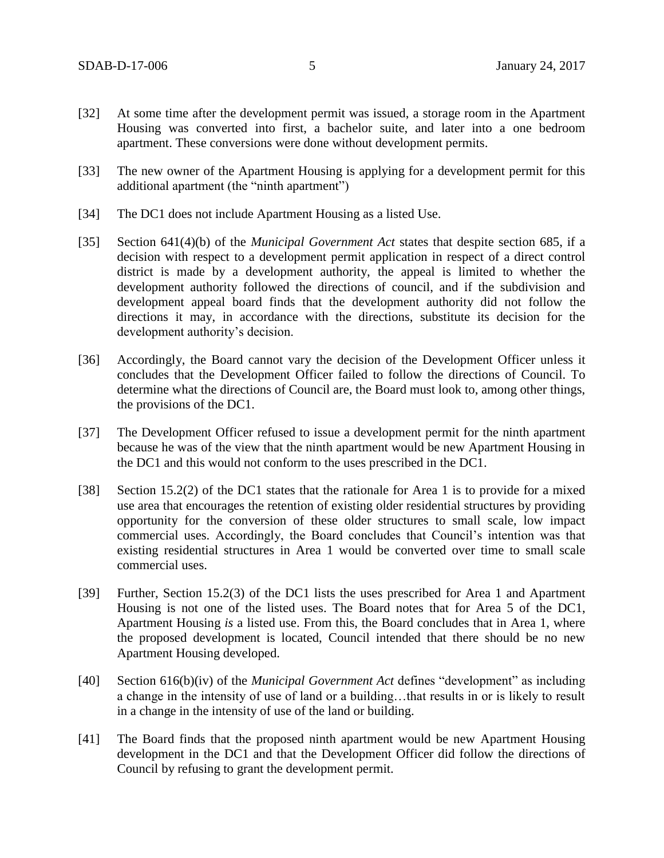- [32] At some time after the development permit was issued, a storage room in the Apartment Housing was converted into first, a bachelor suite, and later into a one bedroom apartment. These conversions were done without development permits.
- [33] The new owner of the Apartment Housing is applying for a development permit for this additional apartment (the "ninth apartment")
- [34] The DC1 does not include Apartment Housing as a listed Use.
- [35] Section 641(4)(b) of the *Municipal Government Act* states that despite section 685, if a decision with respect to a development permit application in respect of a direct control district is made by a development authority, the appeal is limited to whether the development authority followed the directions of council, and if the subdivision and development appeal board finds that the development authority did not follow the directions it may, in accordance with the directions, substitute its decision for the development authority's decision.
- [36] Accordingly, the Board cannot vary the decision of the Development Officer unless it concludes that the Development Officer failed to follow the directions of Council. To determine what the directions of Council are, the Board must look to, among other things, the provisions of the DC1.
- [37] The Development Officer refused to issue a development permit for the ninth apartment because he was of the view that the ninth apartment would be new Apartment Housing in the DC1 and this would not conform to the uses prescribed in the DC1.
- [38] Section 15.2(2) of the DC1 states that the rationale for Area 1 is to provide for a mixed use area that encourages the retention of existing older residential structures by providing opportunity for the conversion of these older structures to small scale, low impact commercial uses. Accordingly, the Board concludes that Council's intention was that existing residential structures in Area 1 would be converted over time to small scale commercial uses.
- [39] Further, Section 15.2(3) of the DC1 lists the uses prescribed for Area 1 and Apartment Housing is not one of the listed uses. The Board notes that for Area 5 of the DC1, Apartment Housing *is* a listed use. From this, the Board concludes that in Area 1, where the proposed development is located, Council intended that there should be no new Apartment Housing developed.
- [40] Section 616(b)(iv) of the *Municipal Government Act* defines "development" as including a change in the intensity of use of land or a building…that results in or is likely to result in a change in the intensity of use of the land or building.
- [41] The Board finds that the proposed ninth apartment would be new Apartment Housing development in the DC1 and that the Development Officer did follow the directions of Council by refusing to grant the development permit.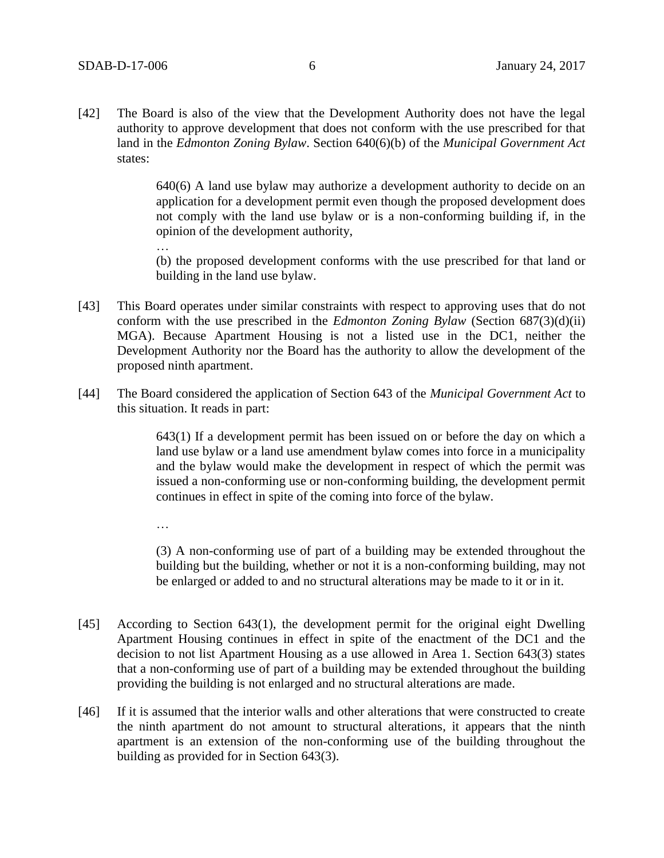…

…

[42] The Board is also of the view that the Development Authority does not have the legal authority to approve development that does not conform with the use prescribed for that land in the *Edmonton Zoning Bylaw*. Section 640(6)(b) of the *Municipal Government Act* states:

> 640(6) A land use bylaw may authorize a development authority to decide on an application for a development permit even though the proposed development does not comply with the land use bylaw or is a non-conforming building if, in the opinion of the development authority,

> (b) the proposed development conforms with the use prescribed for that land or building in the land use bylaw.

- [43] This Board operates under similar constraints with respect to approving uses that do not conform with the use prescribed in the *Edmonton Zoning Bylaw* (Section 687(3)(d)(ii) MGA). Because Apartment Housing is not a listed use in the DC1, neither the Development Authority nor the Board has the authority to allow the development of the proposed ninth apartment.
- [44] The Board considered the application of Section 643 of the *Municipal Government Act* to this situation. It reads in part:

643(1) If a development permit has been issued on or before the day on which a land use bylaw or a land use amendment bylaw comes into force in a municipality and the bylaw would make the development in respect of which the permit was issued a non-conforming use or non-conforming building, the development permit continues in effect in spite of the coming into force of the bylaw.

(3) A non-conforming use of part of a building may be extended throughout the building but the building, whether or not it is a non-conforming building, may not be enlarged or added to and no structural alterations may be made to it or in it.

- [45] According to Section 643(1), the development permit for the original eight Dwelling Apartment Housing continues in effect in spite of the enactment of the DC1 and the decision to not list Apartment Housing as a use allowed in Area 1. Section 643(3) states that a non-conforming use of part of a building may be extended throughout the building providing the building is not enlarged and no structural alterations are made.
- [46] If it is assumed that the interior walls and other alterations that were constructed to create the ninth apartment do not amount to structural alterations, it appears that the ninth apartment is an extension of the non-conforming use of the building throughout the building as provided for in Section 643(3).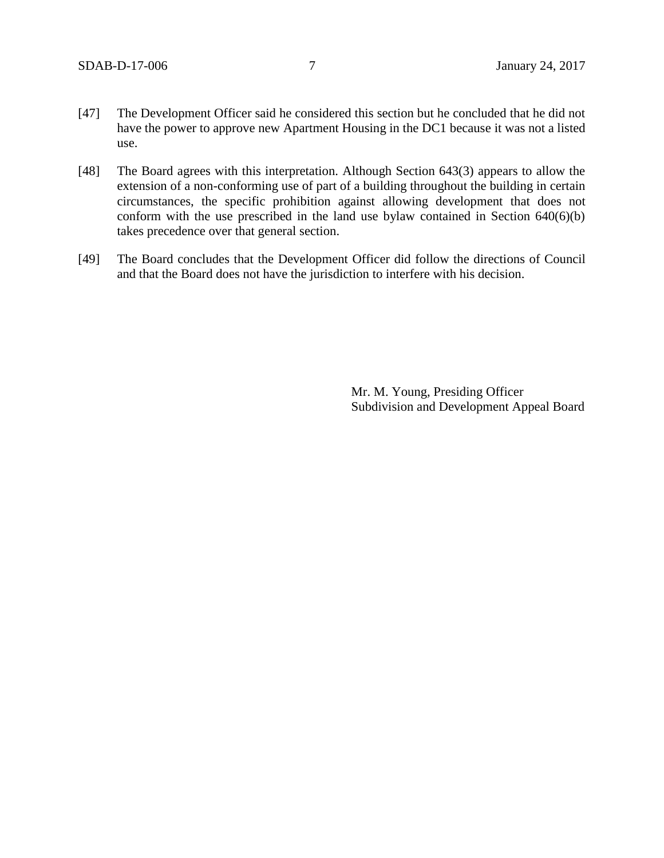- [47] The Development Officer said he considered this section but he concluded that he did not have the power to approve new Apartment Housing in the DC1 because it was not a listed use.
- [48] The Board agrees with this interpretation. Although Section 643(3) appears to allow the extension of a non-conforming use of part of a building throughout the building in certain circumstances, the specific prohibition against allowing development that does not conform with the use prescribed in the land use bylaw contained in Section 640(6)(b) takes precedence over that general section.
- [49] The Board concludes that the Development Officer did follow the directions of Council and that the Board does not have the jurisdiction to interfere with his decision.

Mr. M. Young, Presiding Officer Subdivision and Development Appeal Board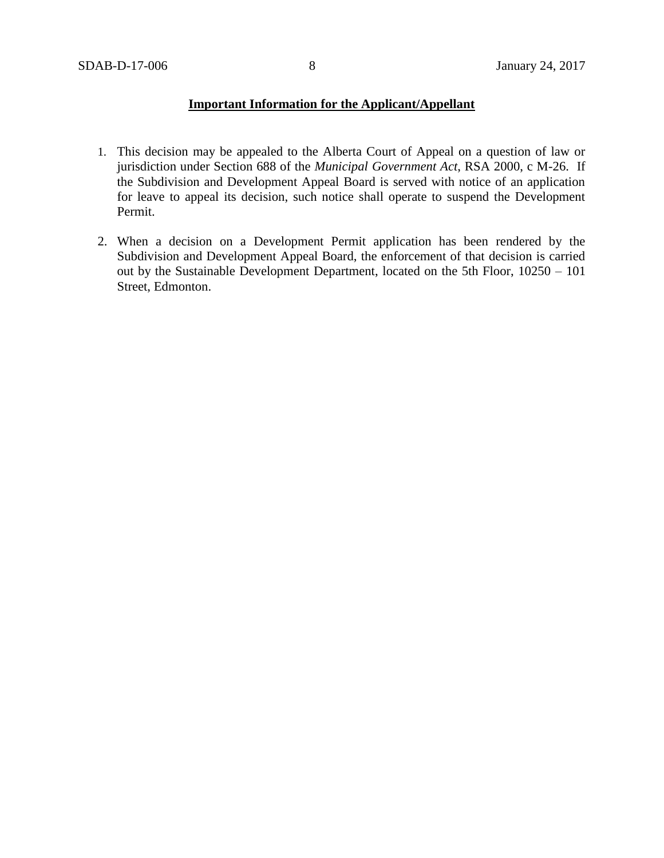## **Important Information for the Applicant/Appellant**

- 1. This decision may be appealed to the Alberta Court of Appeal on a question of law or jurisdiction under Section 688 of the *Municipal Government Act*, RSA 2000, c M-26. If the Subdivision and Development Appeal Board is served with notice of an application for leave to appeal its decision, such notice shall operate to suspend the Development Permit.
- 2. When a decision on a Development Permit application has been rendered by the Subdivision and Development Appeal Board, the enforcement of that decision is carried out by the Sustainable Development Department, located on the 5th Floor, 10250 – 101 Street, Edmonton.